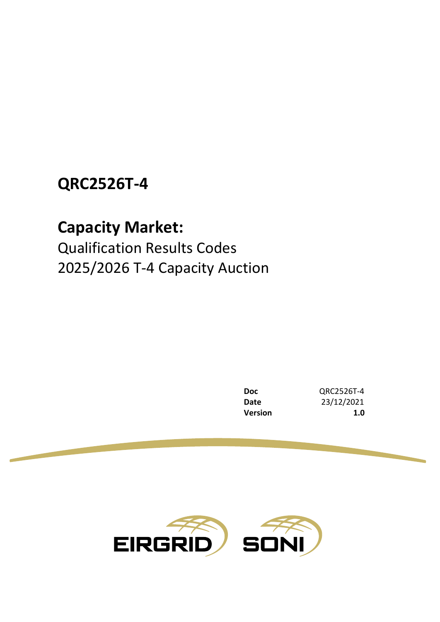## **QRC2526T-4**

# **Capacity Market:**

Qualification Results Codes 2025/2026 T-4 Capacity Auction

> **Doc** QRC2526T-4 **Date** 23/12/2021 **Version 1.0**

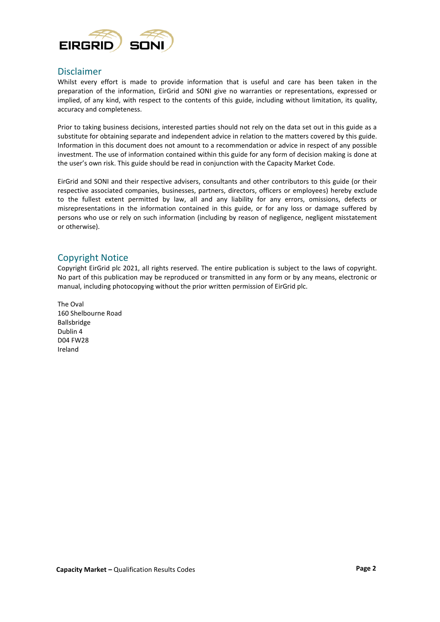

#### Disclaimer

Whilst every effort is made to provide information that is useful and care has been taken in the preparation of the information, EirGrid and SONI give no warranties or representations, expressed or implied, of any kind, with respect to the contents of this guide, including without limitation, its quality, accuracy and completeness.

Prior to taking business decisions, interested parties should not rely on the data set out in this guide as a substitute for obtaining separate and independent advice in relation to the matters covered by this guide. Information in this document does not amount to a recommendation or advice in respect of any possible investment. The use of information contained within this guide for any form of decision making is done at the user's own risk. This guide should be read in conjunction with the Capacity Market Code.

EirGrid and SONI and their respective advisers, consultants and other contributors to this guide (or their respective associated companies, businesses, partners, directors, officers or employees) hereby exclude to the fullest extent permitted by law, all and any liability for any errors, omissions, defects or misrepresentations in the information contained in this guide, or for any loss or damage suffered by persons who use or rely on such information (including by reason of negligence, negligent misstatement or otherwise).

#### Copyright Notice

Copyright EirGrid plc 2021, all rights reserved. The entire publication is subject to the laws of copyright. No part of this publication may be reproduced or transmitted in any form or by any means, electronic or manual, including photocopying without the prior written permission of EirGrid plc.

The Oval 160 Shelbourne Road Ballsbridge Dublin 4 D04 FW28 Ireland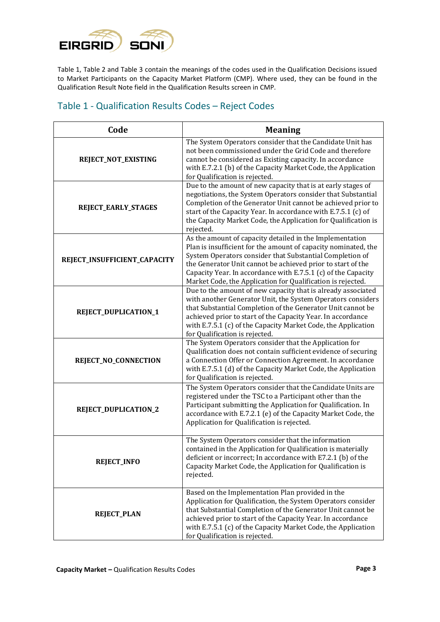

Table 1, Table 2 and Table 3 contain the meanings of the codes used in the Qualification Decisions issued to Market Participants on the Capacity Market Platform (CMP). Where used, they can be found in the Qualification Result Note field in the Qualification Results screen in CMP.

### Table 1 - Qualification Results Codes – Reject Codes

| Code                         | <b>Meaning</b>                                                                                                                                                                                                                                                                                                                                                                        |
|------------------------------|---------------------------------------------------------------------------------------------------------------------------------------------------------------------------------------------------------------------------------------------------------------------------------------------------------------------------------------------------------------------------------------|
| REJECT_NOT_EXISTING          | The System Operators consider that the Candidate Unit has<br>not been commissioned under the Grid Code and therefore<br>cannot be considered as Existing capacity. In accordance<br>with E.7.2.1 (b) of the Capacity Market Code, the Application<br>for Qualification is rejected.                                                                                                   |
| REJECT_EARLY_STAGES          | Due to the amount of new capacity that is at early stages of<br>negotiations, the System Operators consider that Substantial<br>Completion of the Generator Unit cannot be achieved prior to<br>start of the Capacity Year. In accordance with E.7.5.1 (c) of<br>the Capacity Market Code, the Application for Qualification is<br>rejected.                                          |
| REJECT_INSUFFICIENT_CAPACITY | As the amount of capacity detailed in the Implementation<br>Plan is insufficient for the amount of capacity nominated, the<br>System Operators consider that Substantial Completion of<br>the Generator Unit cannot be achieved prior to start of the<br>Capacity Year. In accordance with E.7.5.1 (c) of the Capacity<br>Market Code, the Application for Qualification is rejected. |
| REJECT_DUPLICATION_1         | Due to the amount of new capacity that is already associated<br>with another Generator Unit, the System Operators considers<br>that Substantial Completion of the Generator Unit cannot be<br>achieved prior to start of the Capacity Year. In accordance<br>with E.7.5.1 (c) of the Capacity Market Code, the Application<br>for Qualification is rejected.                          |
| REJECT_NO_CONNECTION         | The System Operators consider that the Application for<br>Qualification does not contain sufficient evidence of securing<br>a Connection Offer or Connection Agreement. In accordance<br>with E.7.5.1 (d) of the Capacity Market Code, the Application<br>for Qualification is rejected.                                                                                              |
| REJECT_DUPLICATION_2         | The System Operators consider that the Candidate Units are<br>registered under the TSC to a Participant other than the<br>Participant submitting the Application for Qualification. In<br>accordance with E.7.2.1 (e) of the Capacity Market Code, the<br>Application for Qualification is rejected.                                                                                  |
| <b>REJECT_INFO</b>           | The System Operators consider that the information<br>contained in the Application for Qualification is materially<br>deficient or incorrect; In accordance with E7.2.1 (b) of the<br>Capacity Market Code, the Application for Qualification is<br>rejected.                                                                                                                         |
| <b>REJECT_PLAN</b>           | Based on the Implementation Plan provided in the<br>Application for Qualification, the System Operators consider<br>that Substantial Completion of the Generator Unit cannot be<br>achieved prior to start of the Capacity Year. In accordance<br>with E.7.5.1 (c) of the Capacity Market Code, the Application<br>for Qualification is rejected.                                     |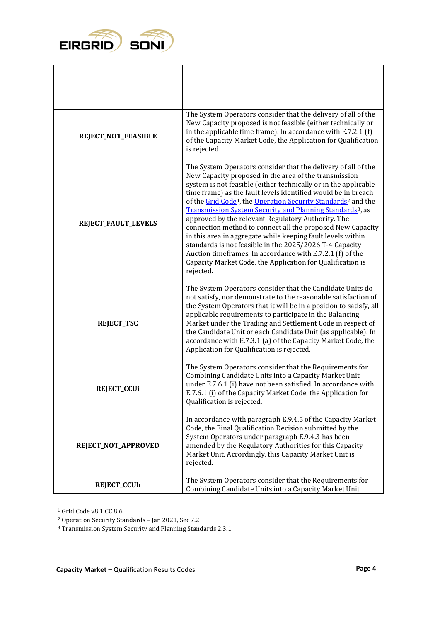

| REJECT_NOT_FEASIBLE | The System Operators consider that the delivery of all of the<br>New Capacity proposed is not feasible (either technically or<br>in the applicable time frame). In accordance with E.7.2.1 (f)<br>of the Capacity Market Code, the Application for Qualification<br>is rejected.                                                                                                                                                                                                                                                                                                                                                                                                                                                                                                                                   |
|---------------------|--------------------------------------------------------------------------------------------------------------------------------------------------------------------------------------------------------------------------------------------------------------------------------------------------------------------------------------------------------------------------------------------------------------------------------------------------------------------------------------------------------------------------------------------------------------------------------------------------------------------------------------------------------------------------------------------------------------------------------------------------------------------------------------------------------------------|
| REJECT_FAULT_LEVELS | The System Operators consider that the delivery of all of the<br>New Capacity proposed in the area of the transmission<br>system is not feasible (either technically or in the applicable<br>time frame) as the fault levels identified would be in breach<br>of the Grid Code <sup>1</sup> , the Operation Security Standards <sup>2</sup> and the<br>Transmission System Security and Planning Standards <sup>3</sup> , as<br>approved by the relevant Regulatory Authority. The<br>connection method to connect all the proposed New Capacity<br>in this area in aggregate while keeping fault levels within<br>standards is not feasible in the 2025/2026 T-4 Capacity<br>Auction timeframes. In accordance with E.7.2.1 (f) of the<br>Capacity Market Code, the Application for Qualification is<br>rejected. |
| <b>REJECT_TSC</b>   | The System Operators consider that the Candidate Units do<br>not satisfy, nor demonstrate to the reasonable satisfaction of<br>the System Operators that it will be in a position to satisfy, all<br>applicable requirements to participate in the Balancing<br>Market under the Trading and Settlement Code in respect of<br>the Candidate Unit or each Candidate Unit (as applicable). In<br>accordance with E.7.3.1 (a) of the Capacity Market Code, the<br>Application for Qualification is rejected.                                                                                                                                                                                                                                                                                                          |
| <b>REJECT_CCUi</b>  | The System Operators consider that the Requirements for<br>Combining Candidate Units into a Capacity Market Unit<br>under E.7.6.1 (i) have not been satisfied. In accordance with<br>E.7.6.1 (i) of the Capacity Market Code, the Application for<br>Qualification is rejected.                                                                                                                                                                                                                                                                                                                                                                                                                                                                                                                                    |
| REJECT_NOT_APPROVED | In accordance with paragraph E.9.4.5 of the Capacity Market<br>Code, the Final Qualification Decision submitted by the<br>System Operators under paragraph E.9.4.3 has been<br>amended by the Regulatory Authorities for this Capacity<br>Market Unit. Accordingly, this Capacity Market Unit is<br>rejected.                                                                                                                                                                                                                                                                                                                                                                                                                                                                                                      |
| <b>REJECT_CCUh</b>  | The System Operators consider that the Requirements for<br>Combining Candidate Units into a Capacity Market Unit                                                                                                                                                                                                                                                                                                                                                                                                                                                                                                                                                                                                                                                                                                   |

 $^{\rm 1}$  Grid Code v8.1 CC.8.6

٦

<sup>&</sup>lt;sup>2</sup> Operation Security Standards - Jan 2021, Sec 7.2

<sup>&</sup>lt;sup>3</sup> Transmission System Security and Planning Standards 2.3.1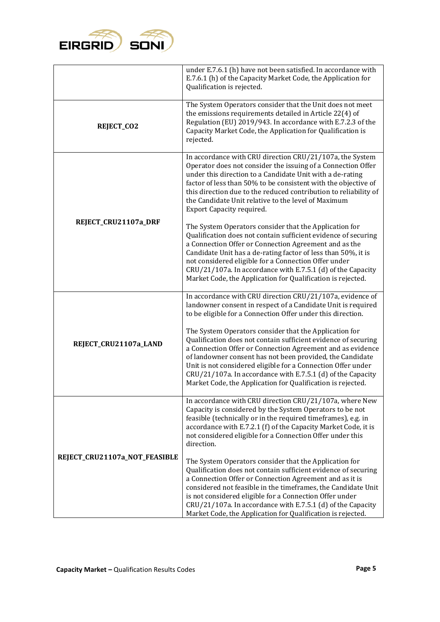

|                               | under E.7.6.1 (h) have not been satisfied. In accordance with<br>E.7.6.1 (h) of the Capacity Market Code, the Application for<br>Qualification is rejected.                                                                                                                                                                                                                                                                                       |
|-------------------------------|---------------------------------------------------------------------------------------------------------------------------------------------------------------------------------------------------------------------------------------------------------------------------------------------------------------------------------------------------------------------------------------------------------------------------------------------------|
| <b>REJECT_CO2</b>             | The System Operators consider that the Unit does not meet<br>the emissions requirements detailed in Article 22(4) of<br>Regulation (EU) 2019/943. In accordance with E.7.2.3 of the<br>Capacity Market Code, the Application for Qualification is<br>rejected.                                                                                                                                                                                    |
| REJECT_CRU21107a_DRF          | In accordance with CRU direction CRU/21/107a, the System<br>Operator does not consider the issuing of a Connection Offer<br>under this direction to a Candidate Unit with a de-rating<br>factor of less than 50% to be consistent with the objective of<br>this direction due to the reduced contribution to reliability of<br>the Candidate Unit relative to the level of Maximum<br><b>Export Capacity required.</b>                            |
|                               | The System Operators consider that the Application for<br>Qualification does not contain sufficient evidence of securing<br>a Connection Offer or Connection Agreement and as the<br>Candidate Unit has a de-rating factor of less than 50%, it is<br>not considered eligible for a Connection Offer under<br>CRU/21/107a. In accordance with E.7.5.1 (d) of the Capacity<br>Market Code, the Application for Qualification is rejected.          |
| REJECT_CRU21107a_LAND         | In accordance with CRU direction CRU/21/107a, evidence of<br>landowner consent in respect of a Candidate Unit is required<br>to be eligible for a Connection Offer under this direction.                                                                                                                                                                                                                                                          |
|                               | The System Operators consider that the Application for<br>Qualification does not contain sufficient evidence of securing<br>a Connection Offer or Connection Agreement and as evidence<br>of landowner consent has not been provided, the Candidate<br>Unit is not considered eligible for a Connection Offer under<br>CRU/21/107a. In accordance with E.7.5.1 (d) of the Capacity<br>Market Code, the Application for Qualification is rejected. |
|                               | In accordance with CRU direction CRU/21/107a, where New<br>Capacity is considered by the System Operators to be not<br>feasible (technically or in the required timeframes), e.g. in<br>accordance with E.7.2.1 (f) of the Capacity Market Code, it is<br>not considered eligible for a Connection Offer under this<br>direction.                                                                                                                 |
| REJECT_CRU21107a_NOT_FEASIBLE | The System Operators consider that the Application for<br>Qualification does not contain sufficient evidence of securing<br>a Connection Offer or Connection Agreement and as it is<br>considered not feasible in the timeframes, the Candidate Unit<br>is not considered eligible for a Connection Offer under<br>CRU/21/107a. In accordance with E.7.5.1 (d) of the Capacity<br>Market Code, the Application for Qualification is rejected.     |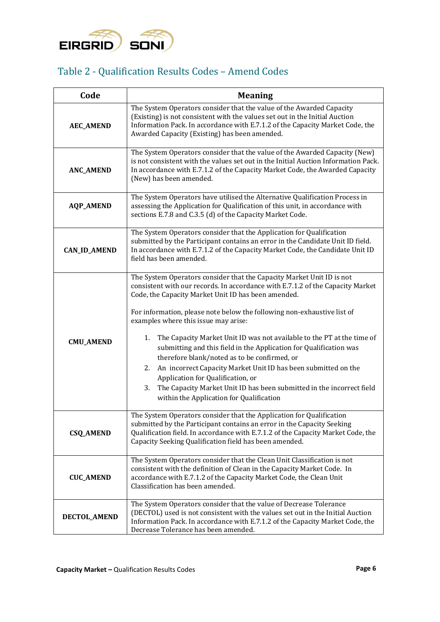

### Table 2 - Qualification Results Codes – Amend Codes

| Code                | <b>Meaning</b>                                                                                                                                                                                                                                                                                                                                                                                                                                                                                                                                                                                                                                                                                                                                                                  |
|---------------------|---------------------------------------------------------------------------------------------------------------------------------------------------------------------------------------------------------------------------------------------------------------------------------------------------------------------------------------------------------------------------------------------------------------------------------------------------------------------------------------------------------------------------------------------------------------------------------------------------------------------------------------------------------------------------------------------------------------------------------------------------------------------------------|
| <b>AEC_AMEND</b>    | The System Operators consider that the value of the Awarded Capacity<br>(Existing) is not consistent with the values set out in the Initial Auction<br>Information Pack. In accordance with E.7.1.2 of the Capacity Market Code, the<br>Awarded Capacity (Existing) has been amended.                                                                                                                                                                                                                                                                                                                                                                                                                                                                                           |
| <b>ANC_AMEND</b>    | The System Operators consider that the value of the Awarded Capacity (New)<br>is not consistent with the values set out in the Initial Auction Information Pack.<br>In accordance with E.7.1.2 of the Capacity Market Code, the Awarded Capacity<br>(New) has been amended.                                                                                                                                                                                                                                                                                                                                                                                                                                                                                                     |
| <b>AQP_AMEND</b>    | The System Operators have utilised the Alternative Qualification Process in<br>assessing the Application for Qualification of this unit, in accordance with<br>sections E.7.8 and C.3.5 (d) of the Capacity Market Code.                                                                                                                                                                                                                                                                                                                                                                                                                                                                                                                                                        |
| <b>CAN_ID_AMEND</b> | The System Operators consider that the Application for Qualification<br>submitted by the Participant contains an error in the Candidate Unit ID field.<br>In accordance with E.7.1.2 of the Capacity Market Code, the Candidate Unit ID<br>field has been amended.                                                                                                                                                                                                                                                                                                                                                                                                                                                                                                              |
| <b>CMU_AMEND</b>    | The System Operators consider that the Capacity Market Unit ID is not<br>consistent with our records. In accordance with E.7.1.2 of the Capacity Market<br>Code, the Capacity Market Unit ID has been amended.<br>For information, please note below the following non-exhaustive list of<br>examples where this issue may arise:<br>The Capacity Market Unit ID was not available to the PT at the time of<br>1.<br>submitting and this field in the Application for Qualification was<br>therefore blank/noted as to be confirmed, or<br>An incorrect Capacity Market Unit ID has been submitted on the<br>2.<br>Application for Qualification, or<br>The Capacity Market Unit ID has been submitted in the incorrect field<br>3.<br>within the Application for Qualification |
| <b>CSQ_AMEND</b>    | The System Operators consider that the Application for Qualification<br>submitted by the Participant contains an error in the Capacity Seeking<br>Qualification field. In accordance with E.7.1.2 of the Capacity Market Code, the<br>Capacity Seeking Qualification field has been amended.                                                                                                                                                                                                                                                                                                                                                                                                                                                                                    |
| <b>CUC_AMEND</b>    | The System Operators consider that the Clean Unit Classification is not<br>consistent with the definition of Clean in the Capacity Market Code. In<br>accordance with E.7.1.2 of the Capacity Market Code, the Clean Unit<br>Classification has been amended.                                                                                                                                                                                                                                                                                                                                                                                                                                                                                                                   |
| DECTOL_AMEND        | The System Operators consider that the value of Decrease Tolerance<br>(DECTOL) used is not consistent with the values set out in the Initial Auction<br>Information Pack. In accordance with E.7.1.2 of the Capacity Market Code, the<br>Decrease Tolerance has been amended.                                                                                                                                                                                                                                                                                                                                                                                                                                                                                                   |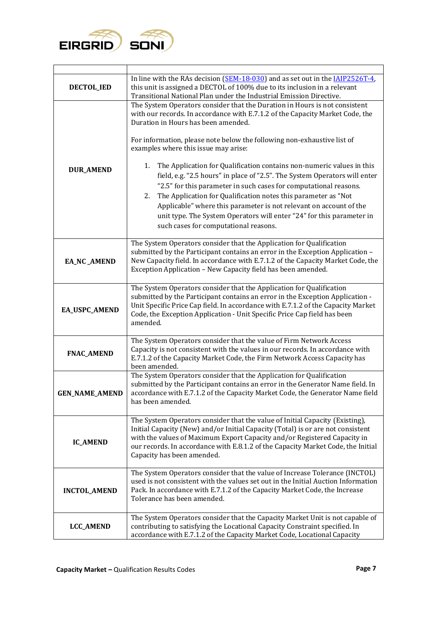

| <b>DECTOL_IED</b>     | In line with the RAs decision (SEM-18-030) and as set out in the IAIP2526T-4,<br>this unit is assigned a DECTOL of 100% due to its inclusion in a relevant<br>Transitional National Plan under the Industrial Emission Directive.                                                                                                                                                                                                                                                                                                      |
|-----------------------|----------------------------------------------------------------------------------------------------------------------------------------------------------------------------------------------------------------------------------------------------------------------------------------------------------------------------------------------------------------------------------------------------------------------------------------------------------------------------------------------------------------------------------------|
|                       | The System Operators consider that the Duration in Hours is not consistent<br>with our records. In accordance with E.7.1.2 of the Capacity Market Code, the<br>Duration in Hours has been amended.<br>For information, please note below the following non-exhaustive list of                                                                                                                                                                                                                                                          |
| <b>DUR_AMEND</b>      | examples where this issue may arise:<br>The Application for Qualification contains non-numeric values in this<br>1.<br>field, e.g. "2.5 hours" in place of "2.5". The System Operators will enter<br>"2.5" for this parameter in such cases for computational reasons.<br>The Application for Qualification notes this parameter as "Not<br>2.<br>Applicable" where this parameter is not relevant on account of the<br>unit type. The System Operators will enter "24" for this parameter in<br>such cases for computational reasons. |
| <b>EA_NC_AMEND</b>    | The System Operators consider that the Application for Qualification<br>submitted by the Participant contains an error in the Exception Application -<br>New Capacity field. In accordance with E.7.1.2 of the Capacity Market Code, the<br>Exception Application - New Capacity field has been amended.                                                                                                                                                                                                                               |
| EA_USPC_AMEND         | The System Operators consider that the Application for Qualification<br>submitted by the Participant contains an error in the Exception Application -<br>Unit Specific Price Cap field. In accordance with E.7.1.2 of the Capacity Market<br>Code, the Exception Application - Unit Specific Price Cap field has been<br>amended.                                                                                                                                                                                                      |
| <b>FNAC_AMEND</b>     | The System Operators consider that the value of Firm Network Access<br>Capacity is not consistent with the values in our records. In accordance with<br>E.7.1.2 of the Capacity Market Code, the Firm Network Access Capacity has<br>been amended.                                                                                                                                                                                                                                                                                     |
| <b>GEN_NAME_AMEND</b> | The System Operators consider that the Application for Qualification<br>submitted by the Participant contains an error in the Generator Name field. In<br>accordance with E.7.1.2 of the Capacity Market Code, the Generator Name field<br>has been amended.                                                                                                                                                                                                                                                                           |
| <b>IC_AMEND</b>       | The System Operators consider that the value of Initial Capacity (Existing),<br>Initial Capacity (New) and/or Initial Capacity (Total) is or are not consistent<br>with the values of Maximum Export Capacity and/or Registered Capacity in<br>our records. In accordance with E.8.1.2 of the Capacity Market Code, the Initial<br>Capacity has been amended.                                                                                                                                                                          |
| <b>INCTOL_AMEND</b>   | The System Operators consider that the value of Increase Tolerance (INCTOL)<br>used is not consistent with the values set out in the Initial Auction Information<br>Pack. In accordance with E.7.1.2 of the Capacity Market Code, the Increase<br>Tolerance has been amended.                                                                                                                                                                                                                                                          |
| <b>LCC_AMEND</b>      | The System Operators consider that the Capacity Market Unit is not capable of<br>contributing to satisfying the Locational Capacity Constraint specified. In<br>accordance with E.7.1.2 of the Capacity Market Code, Locational Capacity                                                                                                                                                                                                                                                                                               |